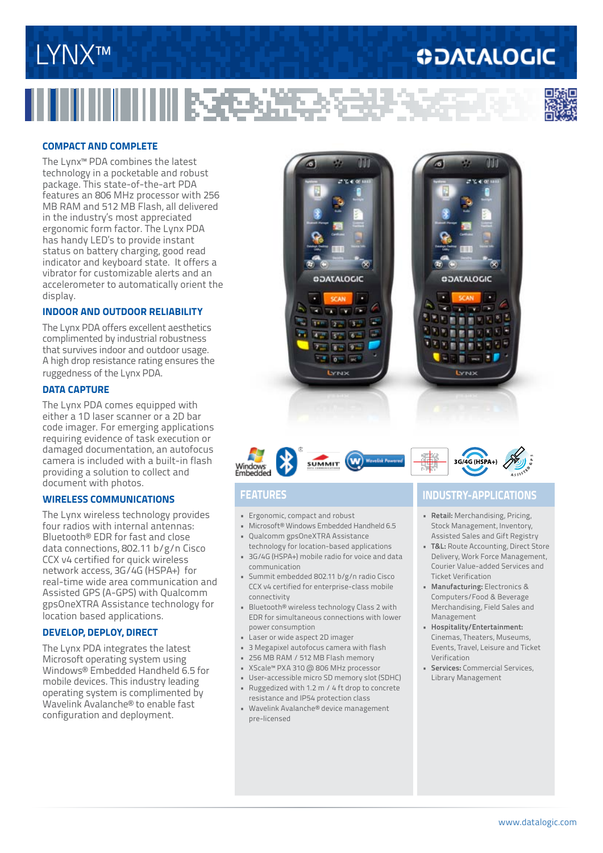## LYNX™

### **ODATALOGIC**



#### **COMPACT And COMPLETE**

The Lynx™ PDA combines the latest technology in a pocketable and robust package. This state-of-the-art PDA features an 806 MHz processor with 256 MB RAM and 512 MB Flash, all delivered in the industry's most appreciated ergonomic form factor. The Lynx PDA has handy LED's to provide instant status on battery charging, good read indicator and keyboard state. It offers a vibrator for customizable alerts and an accelerometer to automatically orient the display.

#### **Indoor and outdoor reliability**

The Lynx PDA offers excellent aesthetics complimented by industrial robustness that survives indoor and outdoor usage. A high drop resistance rating ensures the ruggedness of the Lynx PDA.

#### **DATA CAPTURE**

The Lynx PDA comes equipped with either a 1D laser scanner or a 2D bar code imager. For emerging applications requiring evidence of task execution or damaged documentation, an autofocus camera is included with a built-in flash providing a solution to collect and document with photos.

#### **wireless COMMUNICATions**

The Lynx wireless technology provides four radios with internal antennas: Bluetooth® EDR for fast and close data connections, 802.11 b/g/n Cisco CCX v4 certified for quick wireless network access, 3G/4G (HSPA+) for real-time wide area communication and Assisted GPS (A-GPS) with Qualcomm gpsOneXTRA Assistance technology for location based applications.

#### **DEVELOP, DEPLOY, DIRECT**

The Lynx PDA integrates the latest Microsoft operating system using Windows® Embedded Handheld 6.5 for mobile devices. This industry leading operating system is complimented by Wavelink Avalanche® to enable fast configuration and deployment.





- • Ergonomic, compact and robust
- • Microsoft® Windows Embedded Handheld 6.5 • Qualcomm gpsOneXTRA Assistance
- technology for location-based applications • 3G/4G (HSPA+) mobile radio for voice and data
- communication • Summit embedded 802.11 b/g/n radio Cisco
- CCX v4 certified for enterprise-class mobile connectivity
- • Bluetooth® wireless technology Class 2 with EDR for simultaneous connections with lower power consumption
- • Laser or wide aspect 2D imager
- • 3 Megapixel autofocus camera with flash
- • 256 MB RAM / 512 MB Flash memory
- • XScale™ PXA 310 @ 806 MHz processor
- • User-accessible micro SD memory slot (SDHC)
- • Ruggedized with 1.2 m / 4 ft drop to concrete resistance and IP54 protection class
- Wavelink Avalanche® device management pre-licensed

### **Features industry-applications**

- **• Retail:** Merchandising, Pricing, Stock Management, Inventory, Assisted Sales and Gift Registry
- **• T&L:** Route Accounting, Direct Store Delivery, Work Force Management, Courier Value-added Services and Ticket Verification
- **• Manufacturing:** Electronics & Computers/Food & Beverage Merchandising, Field Sales and Management
- **• Hospitality/Entertainment:** Cinemas, Theaters, Museums, Events, Travel, Leisure and Ticket Verification
- **• Services:** Commercial Services, Library Management